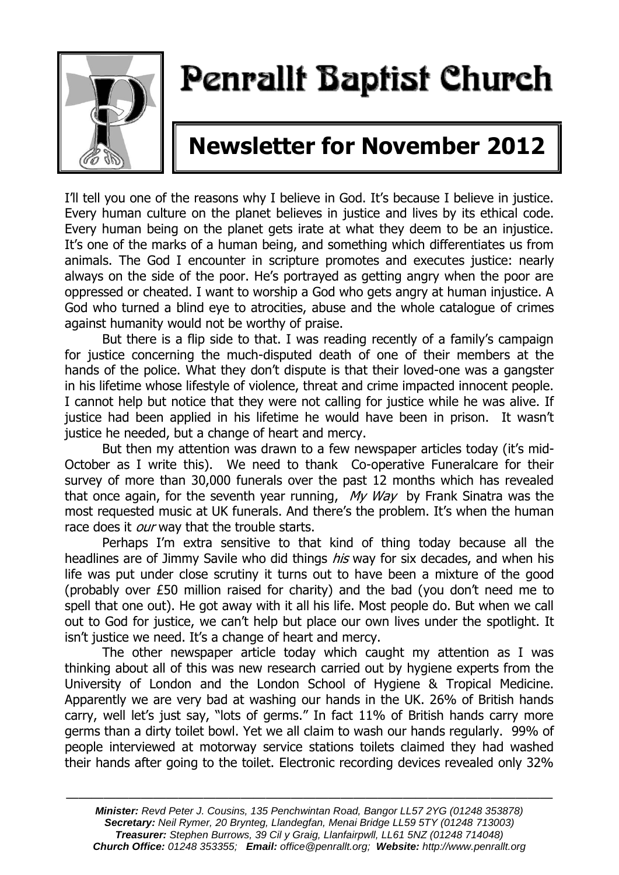

# Penrallt Baptist Church

# **Newsletter for November 2012**

I'll tell you one of the reasons why I believe in God. It's because I believe in justice. Every human culture on the planet believes in justice and lives by its ethical code. Every human being on the planet gets irate at what they deem to be an injustice. It's one of the marks of a human being, and something which differentiates us from animals. The God I encounter in scripture promotes and executes justice: nearly always on the side of the poor. He's portrayed as getting angry when the poor are oppressed or cheated. I want to worship a God who gets angry at human injustice. A God who turned a blind eye to atrocities, abuse and the whole catalogue of crimes against humanity would not be worthy of praise.

But there is a flip side to that. I was reading recently of a family's campaign for justice concerning the much-disputed death of one of their members at the hands of the police. What they don't dispute is that their loved-one was a gangster in his lifetime whose lifestyle of violence, threat and crime impacted innocent people. I cannot help but notice that they were not calling for justice while he was alive. If justice had been applied in his lifetime he would have been in prison. It wasn't justice he needed, but a change of heart and mercy.

But then my attention was drawn to a few newspaper articles today (it's mid-October as I write this). We need to thank Co-operative Funeralcare for their survey of more than 30,000 funerals over the past 12 months which has revealed that once again, for the seventh year running, My Way by Frank Sinatra was the most requested music at UK funerals. And there's the problem. It's when the human race does it *our* way that the trouble starts.

Perhaps I'm extra sensitive to that kind of thing today because all the headlines are of Jimmy Savile who did things *his* way for six decades, and when his life was put under close scrutiny it turns out to have been a mixture of the good (probably over £50 million raised for charity) and the bad (you don't need me to spell that one out). He got away with it all his life. Most people do. But when we call out to God for justice, we can't help but place our own lives under the spotlight. It isn't justice we need. It's a change of heart and mercy.

The other newspaper article today which caught my attention as I was thinking about all of this was new research carried out by hygiene experts from the University of London and the London School of Hygiene & Tropical Medicine. Apparently we are very bad at washing our hands in the UK. 26% of British hands carry, well let's just say, "lots of germs." In fact 11% of British hands carry more germs than a dirty toilet bowl. Yet we all claim to wash our hands regularly. 99% of people interviewed at motorway service stations toilets claimed they had washed their hands after going to the toilet. Electronic recording devices revealed only 32%

———————————————————————————————————————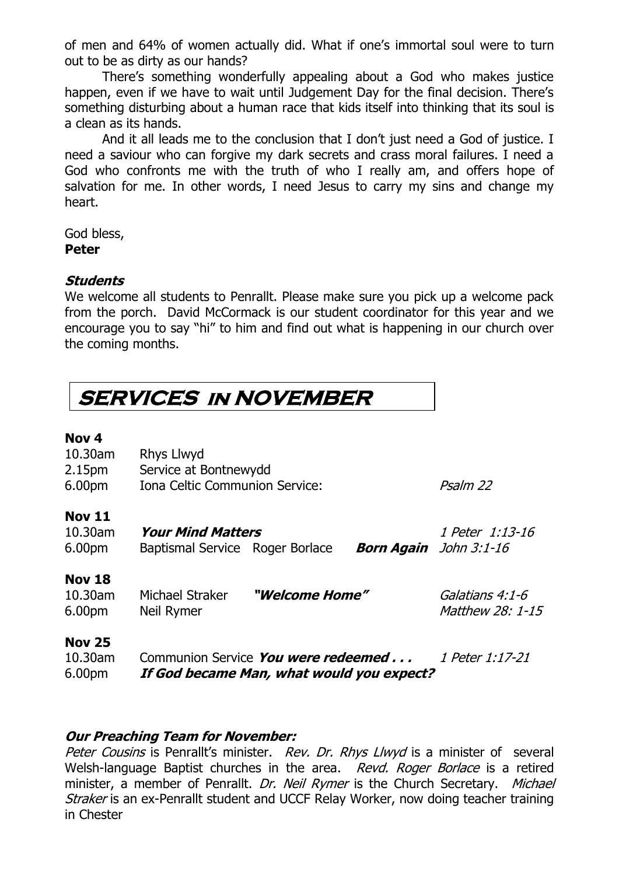of men and 64% of women actually did. What if one's immortal soul were to turn out to be as dirty as our hands?

There's something wonderfully appealing about a God who makes justice happen, even if we have to wait until Judgement Day for the final decision. There's something disturbing about a human race that kids itself into thinking that its soul is a clean as its hands.

And it all leads me to the conclusion that I don't just need a God of justice. I need a saviour who can forgive my dark secrets and crass moral failures. I need a God who confronts me with the truth of who I really am, and offers hope of salvation for me. In other words, I need Jesus to carry my sins and change my heart.

God bless, **Peter**

### **Students**

We welcome all students to Penrallt. Please make sure you pick up a welcome pack from the porch. David McCormack is our student coordinator for this year and we encourage you to say "hi" to him and find out what is happening in our church over the coming months.

# **SERVICES in NOVEMBER**

### **Nov 4**

| 10.30am<br>2.15pm<br>6.00pm                    | Rhys Llwyd<br>Service at Bontnewydd<br><b>Iona Celtic Communion Service:</b>     |                       |                               | Psalm 22                            |
|------------------------------------------------|----------------------------------------------------------------------------------|-----------------------|-------------------------------|-------------------------------------|
| <b>Nov 11</b><br>10.30am<br>6.00pm             | <b>Your Mind Matters</b><br>Baptismal Service Roger Borlace                      |                       | <b>Born Again</b> John 3:1-16 | 1 Peter 1:13-16                     |
| <b>Nov 18</b><br>10.30am<br>6.00 <sub>pm</sub> | Michael Straker<br>Neil Rymer                                                    | <i>"Welcome Home"</i> |                               | Galatians 4:1-6<br>Matthew 28: 1-15 |
| <b>Nov 25</b><br>10.30am<br>6.00pm             | Communion Service You were redeemed<br>If God became Man, what would you expect? |                       |                               | 1 Peter 1:17-21                     |

### **Our Preaching Team for November:**

Peter Cousins is Penrallt's minister. Rev. Dr. Rhys Llwyd is a minister of several Welsh-language Baptist churches in the area. Revd. Roger Borlace is a retired minister, a member of Penrallt. Dr. Neil Rymer is the Church Secretary. Michael Straker is an ex-Penrallt student and UCCF Relay Worker, now doing teacher training in Chester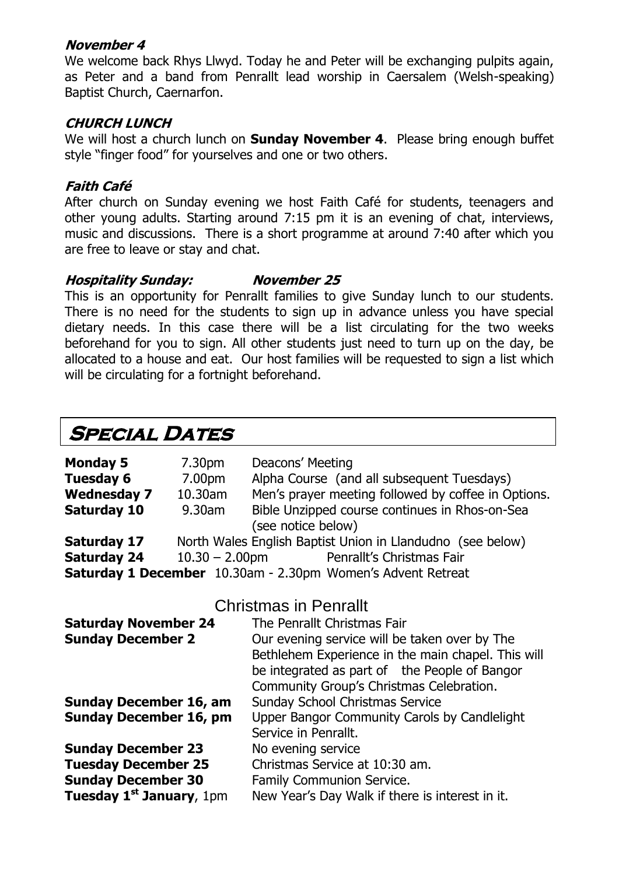#### **November 4**

We welcome back Rhys Llwyd. Today he and Peter will be exchanging pulpits again, as Peter and a band from Penrallt lead worship in Caersalem (Welsh-speaking) Baptist Church, Caernarfon.

### **CHURCH LUNCH**

We will host a church lunch on **Sunday November 4**. Please bring enough buffet style "finger food" for yourselves and one or two others.

### **Faith Café**

After church on Sunday evening we host Faith Café for students, teenagers and other young adults. Starting around 7:15 pm it is an evening of chat, interviews, music and discussions. There is a short programme at around 7:40 after which you are free to leave or stay and chat.

### **Hospitality Sunday: November 25**

This is an opportunity for Penrallt families to give Sunday lunch to our students. There is no need for the students to sign up in advance unless you have special dietary needs. In this case there will be a list circulating for the two weeks beforehand for you to sign. All other students just need to turn up on the day, be allocated to a house and eat. Our host families will be requested to sign a list which will be circulating for a fortnight beforehand.

### **Special Dates**

| <b>Monday 5</b><br><b>Tuesday 6</b>                                | 7.30 <sub>pm</sub><br>7.00pm                               | Deacons' Meeting<br>Alpha Course (and all subsequent Tuesdays) |  |  |
|--------------------------------------------------------------------|------------------------------------------------------------|----------------------------------------------------------------|--|--|
|                                                                    |                                                            |                                                                |  |  |
| <b>Wednesday 7</b>                                                 | 10.30am                                                    | Men's prayer meeting followed by coffee in Options.            |  |  |
| <b>Saturday 10</b>                                                 | 9.30am                                                     | Bible Unzipped course continues in Rhos-on-Sea                 |  |  |
|                                                                    |                                                            | (see notice below)                                             |  |  |
| <b>Saturday 17</b>                                                 | North Wales English Baptist Union in Llandudno (see below) |                                                                |  |  |
| <b>Saturday 24</b>                                                 | $10.30 - 2.00$ pm                                          | Penrallt's Christmas Fair                                      |  |  |
| <b>Saturday 1 December</b> 10.30am - 2.30pm Women's Advent Retreat |                                                            |                                                                |  |  |

### Christmas in Penrallt

| <b>Saturday November 24</b><br><b>Sunday December 2</b> | The Penrallt Christmas Fair<br>Our evening service will be taken over by The<br>Bethlehem Experience in the main chapel. This will<br>be integrated as part of the People of Bangor<br>Community Group's Christmas Celebration. |  |
|---------------------------------------------------------|---------------------------------------------------------------------------------------------------------------------------------------------------------------------------------------------------------------------------------|--|
| <b>Sunday December 16, am</b>                           | Sunday School Christmas Service                                                                                                                                                                                                 |  |
| <b>Sunday December 16, pm</b>                           | Upper Bangor Community Carols by Candlelight<br>Service in Penrallt.                                                                                                                                                            |  |
| <b>Sunday December 23</b>                               | No evening service                                                                                                                                                                                                              |  |
| <b>Tuesday December 25</b>                              | Christmas Service at 10:30 am.                                                                                                                                                                                                  |  |
| <b>Sunday December 30</b>                               | Family Communion Service.                                                                                                                                                                                                       |  |
| Tuesday 1 <sup>st</sup> January, 1pm                    | New Year's Day Walk if there is interest in it.                                                                                                                                                                                 |  |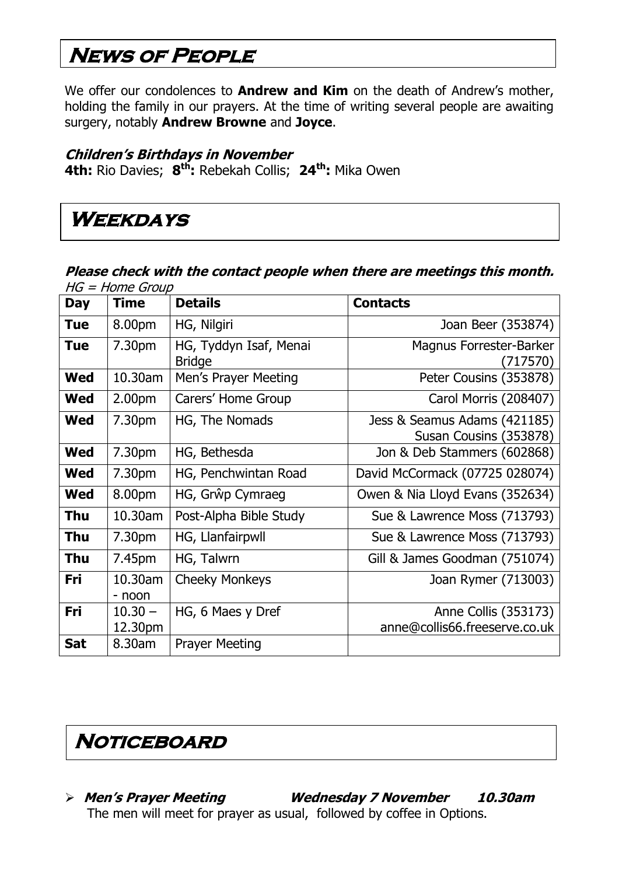# **News of People**

We offer our condolences to **Andrew and Kim** on the death of Andrew's mother, holding the family in our prayers. At the time of writing several people are awaiting surgery, notably **Andrew Browne** and **Joyce**.

#### **Children's Birthdays in November**

**4th:** Rio Davies; **8 th:** Rebekah Collis; **24th:** Mika Owen

### **Weekdays**

#### **Please check with the contact people when there are meetings this month.**   $HG = Home$  Group

| <b>Day</b> | <b>Time</b>          | <b>Details</b>                          | <b>Contacts</b>                                        |
|------------|----------------------|-----------------------------------------|--------------------------------------------------------|
| <b>Tue</b> | 8.00pm               | HG, Nilgiri                             | Joan Beer (353874)                                     |
| <b>Tue</b> | 7.30pm               | HG, Tyddyn Isaf, Menai<br><b>Bridge</b> | <b>Magnus Forrester-Barker</b><br>(717570)             |
| <b>Wed</b> | 10.30am              | Men's Prayer Meeting                    | Peter Cousins (353878)                                 |
| Wed        | 2.00 <sub>pm</sub>   | Carers' Home Group                      | Carol Morris (208407)                                  |
| <b>Wed</b> | 7.30pm               | HG, The Nomads                          | Jess & Seamus Adams (421185)<br>Susan Cousins (353878) |
| <b>Wed</b> | 7.30pm               | HG, Bethesda                            | Jon & Deb Stammers (602868)                            |
| Wed        | 7.30pm               | HG, Penchwintan Road                    | David McCormack (07725 028074)                         |
| <b>Wed</b> | 8.00pm               | HG, Grŵp Cymraeg                        | Owen & Nia Lloyd Evans (352634)                        |
| Thu        | 10.30am              | Post-Alpha Bible Study                  | Sue & Lawrence Moss (713793)                           |
| <b>Thu</b> | 7.30pm               | HG, Llanfairpwll                        | Sue & Lawrence Moss (713793)                           |
| Thu        | 7.45pm               | HG, Talwrn                              | Gill & James Goodman (751074)                          |
| Fri        | 10.30am<br>- noon    | <b>Cheeky Monkeys</b>                   | Joan Rymer (713003)                                    |
| Fri        | $10.30 -$<br>12.30pm | HG, 6 Maes y Dref                       | Anne Collis (353173)<br>anne@collis66.freeserve.co.uk  |
| <b>Sat</b> | 8.30am               | <b>Prayer Meeting</b>                   |                                                        |

## **Noticeboard**

 **Men's Prayer Meeting Wednesday 7 November 10.30am** The men will meet for prayer as usual, followed by coffee in Options.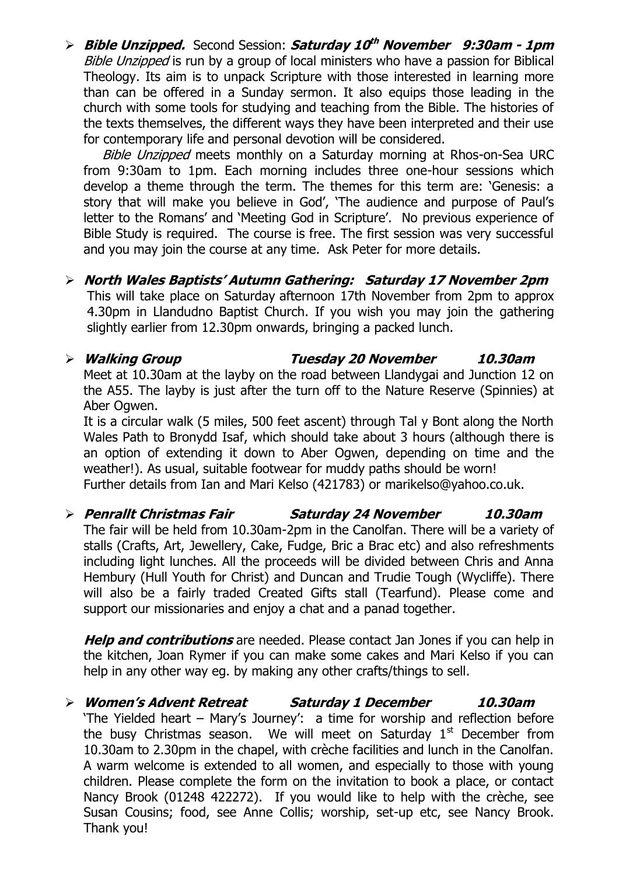**Bible Unzipped.** Second Session: **Saturday 10 th November 9:30am - 1pm** Bible Unzipped is run by a group of local ministers who have a passion for Biblical Theology. Its aim is to unpack Scripture with those interested in learning more than can be offered in a Sunday sermon. It also equips those leading in the church with some tools for studying and teaching from the Bible. The histories of the texts themselves, the different ways they have been interpreted and their use for contemporary life and personal devotion will be considered.

Bible Unzipped meets monthly on a Saturday morning at Rhos-on-Sea URC from 9:30am to 1pm. Each morning includes three one-hour sessions which develop a theme through the term. The themes for this term are: 'Genesis: a story that will make you believe in God', 'The audience and purpose of Paul's letter to the Romans' and 'Meeting God in Scripture'. No previous experience of Bible Study is required. The course is free. The first session was very successful and you may join the course at any time. Ask Peter for more details.

- **North Wales Baptists' Autumn Gathering: Saturday 17 November 2pm** This will take place on Saturday afternoon 17th November from 2pm to approx 4.30pm in Llandudno Baptist Church. If you wish you may join the gathering slightly earlier from 12.30pm onwards, bringing a packed lunch.
- **Walking Group Tuesday 20 November 10.30am** Meet at 10.30am at the layby on the road between Llandygai and Junction 12 on the A55. The layby is just after the turn off to the Nature Reserve (Spinnies) at Aber Ogwen.

It is a circular walk (5 miles, 500 feet ascent) through Tal y Bont along the North Wales Path to Bronydd Isaf, which should take about 3 hours (although there is an option of extending it down to Aber Ogwen, depending on time and the weather!). As usual, suitable footwear for muddy paths should be worn! Further details from Ian and Mari Kelso (421783) or [marikelso@yahoo.co.uk.](mailto:marikelso@yahoo.co.uk)

 **Penrallt Christmas Fair Saturday 24 November 10.30am** The fair will be held from 10.30am-2pm in the Canolfan. There will be a variety of stalls (Crafts, Art, Jewellery, Cake, Fudge, Bric a Brac etc) and also refreshments including light lunches. All the proceeds will be divided between Chris and Anna Hembury (Hull Youth for Christ) and Duncan and Trudie Tough (Wycliffe). There will also be a fairly traded Created Gifts stall (Tearfund). Please come and support our missionaries and enjoy a chat and a panad together.

**Help and contributions** are needed. Please contact Jan Jones if you can help in the kitchen, Joan Rymer if you can make some cakes and Mari Kelso if you can help in any other way eg. by making any other crafts/things to sell.

 **Women's Advent Retreat Saturday 1 December 10.30am** 'The Yielded heart – Mary's Journey': a time for worship and reflection before the busy Christmas season. We will meet on Saturday  $1<sup>st</sup>$  December from 10.30am to 2.30pm in the chapel, with crèche facilities and lunch in the Canolfan. A warm welcome is extended to all women, and especially to those with young children. Please complete the form on the invitation to book a place, or contact Nancy Brook (01248 422272). If you would like to help with the crèche, see Susan Cousins; food, see Anne Collis; worship, set-up etc, see Nancy Brook. Thank you!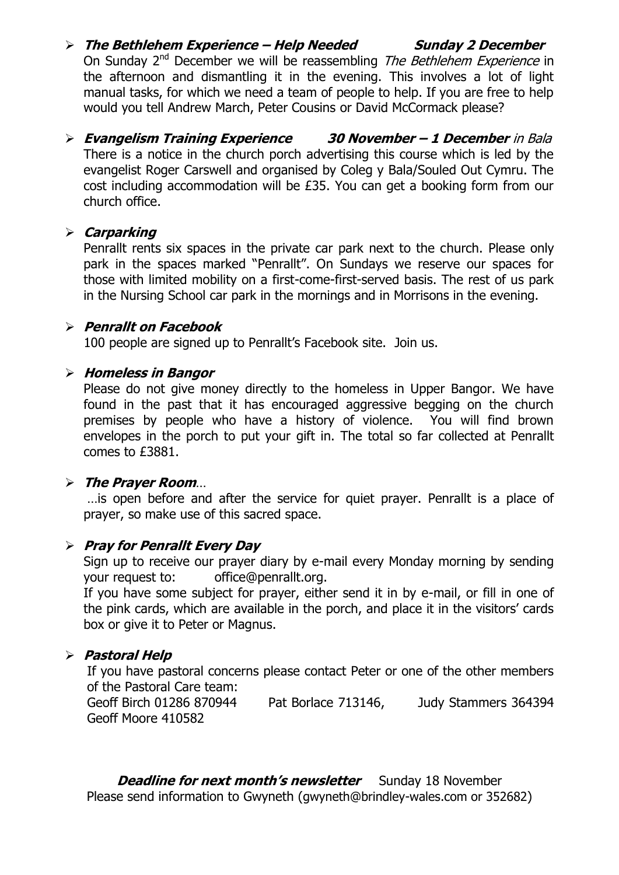### **The Bethlehem Experience – Help Needed Sunday 2 December**

On Sunday 2<sup>nd</sup> December we will be reassembling *The Bethlehem Experience* in the afternoon and dismantling it in the evening. This involves a lot of light manual tasks, for which we need a team of people to help. If you are free to help would you tell Andrew March, Peter Cousins or David McCormack please?

#### **Evangelism Training Experience 30 November – 1 December** in Bala There is a notice in the church porch advertising this course which is led by the evangelist Roger Carswell and organised by Coleg y Bala/Souled Out Cymru. The cost including accommodation will be £35. You can get a booking form from our church office.

#### **Carparking**

Penrallt rents six spaces in the private car park next to the church. Please only park in the spaces marked "Penrallt". On Sundays we reserve our spaces for those with limited mobility on a first-come-first-served basis. The rest of us park in the Nursing School car park in the mornings and in Morrisons in the evening.

#### **Penrallt on Facebook**

100 people are signed up to Penrallt's Facebook site. Join us.

### **Homeless in Bangor**

Please do not give money directly to the homeless in Upper Bangor. We have found in the past that it has encouraged aggressive begging on the church premises by people who have a history of violence. You will find brown envelopes in the porch to put your gift in. The total so far collected at Penrallt comes to £3881.

### **The Prayer Room**…

…is open before and after the service for quiet prayer. Penrallt is a place of prayer, so make use of this sacred space.

### **Pray for Penrallt Every Day**

Sign up to receive our prayer diary by e-mail every Monday morning by sending your request to: [office@penrallt.org.](mailto:office@penrallt.org)

If you have some subject for prayer, either send it in by e-mail, or fill in one of the pink cards, which are available in the porch, and place it in the visitors' cards box or give it to Peter or Magnus.

### **Pastoral Help**

If you have pastoral concerns please contact Peter or one of the other members of the Pastoral Care team: Geoff Birch 01286 870944 Pat Borlace 713146, Judy Stammers 364394 Geoff Moore 410582

**Deadline for next month's newsletter** Sunday 18 November Please send information to Gwyneth ([gwyneth@brindley-wales.com](mailto:gwyneth@brindley-wales.com) or 352682)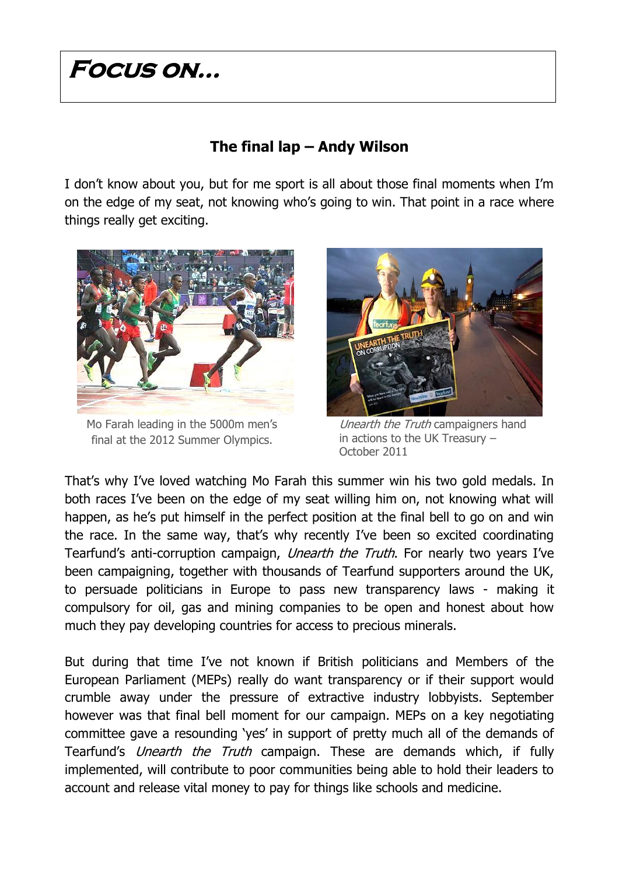# **Focus on…**

### **The final lap – Andy Wilson**

I don't know about you, but for me sport is all about those final moments when I'm on the edge of my seat, not knowing who's going to win. That point in a race where things really get exciting.



Mo Farah leading in the 5000m men's final at the 2012 Summer Olympics.



Unearth the Truth campaigners hand in actions to the UK Treasury – October 2011

That's why I've loved watching Mo Farah this summer win his two gold medals. In both races I've been on the edge of my seat willing him on, not knowing what will happen, as he's put himself in the perfect position at the final bell to go on and win the race. In the same way, that's why recently I've been so excited coordinating Tearfund's anti-corruption campaign, *Unearth the Truth*. For nearly two years I've been campaigning, together with thousands of Tearfund supporters around the UK, to persuade politicians in Europe to pass new transparency laws - making it compulsory for oil, gas and mining companies to be open and honest about how much they pay developing countries for access to precious minerals.

But during that time I've not known if British politicians and Members of the European Parliament (MEPs) really do want transparency or if their support would crumble away under the pressure of extractive industry lobbyists. September however was that final bell moment for our campaign. MEPs on a key negotiating committee gave a resounding 'yes' in support of pretty much all of the demands of Tearfund's *Unearth the Truth* campaign. These are demands which, if fully implemented, will contribute to poor communities being able to hold their leaders to account and release vital money to pay for things like schools and medicine.